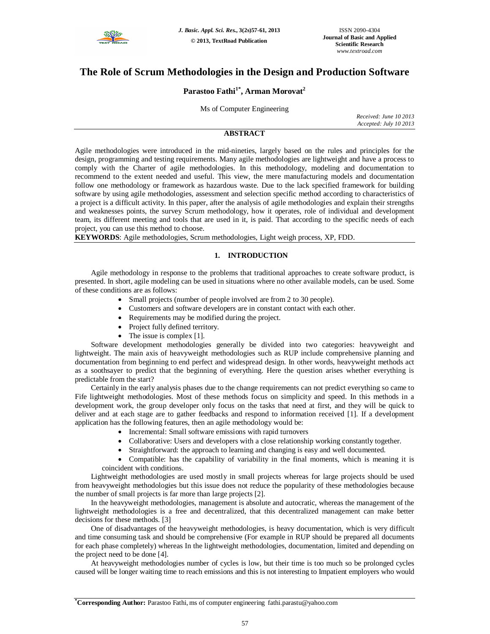

# **The Role of Scrum Methodologies in the Design and Production Software**

## **Parastoo Fathi1\* , Arman Morovat<sup>2</sup>**

## Ms of Computer Engineering

*Received: June 10 2013 Accepted: July 10 2013*

## **ABSTRACT**

Agile methodologies were introduced in the mid-nineties, largely based on the rules and principles for the design, programming and testing requirements. Many agile methodologies are lightweight and have a process to comply with the Charter of agile methodologies. In this methodology, modeling and documentation to recommend to the extent needed and useful. This view, the mere manufacturing models and documentation follow one methodology or framework as hazardous waste. Due to the lack specified framework for building software by using agile methodologies, assessment and selection specific method according to characteristics of a project is a difficult activity. In this paper, after the analysis of agile methodologies and explain their strengths and weaknesses points, the survey Scrum methodology, how it operates, role of individual and development team, its different meeting and tools that are used in it, is paid. That according to the specific needs of each project, you can use this method to choose.

**KEYWORDS**: Agile methodologies, Scrum methodologies, Light weigh process, XP, FDD.

## **1. INTRODUCTION**

Agile methodology in response to the problems that traditional approaches to create software product, is presented. In short, agile modeling can be used in situations where no other available models, can be used. Some of these conditions are as follows:

- Small projects (number of people involved are from 2 to 30 people).
- Customers and software developers are in constant contact with each other.
- Requirements may be modified during the project.
- Project fully defined territory.
- The issue is complex [1].

Software development methodologies generally be divided into two categories: heavyweight and lightweight. The main axis of heavyweight methodologies such as RUP include comprehensive planning and documentation from beginning to end perfect and widespread design. In other words, heavyweight methods act as a soothsayer to predict that the beginning of everything. Here the question arises whether everything is predictable from the start?

Certainly in the early analysis phases due to the change requirements can not predict everything so came to Fife lightweight methodologies. Most of these methods focus on simplicity and speed. In this methods in a development work, the group developer only focus on the tasks that need at first, and they will be quick to deliver and at each stage are to gather feedbacks and respond to information received [1]. If a development application has the following features, then an agile methodology would be:

- Incremental: Small software emissions with rapid turnovers
- Collaborative: Users and developers with a close relationship working constantly together.
- Straightforward: the approach to learning and changing is easy and well documented.

 Compatible: has the capability of variability in the final moments, which is meaning it is coincident with conditions.

Lightweight methodologies are used mostly in small projects whereas for large projects should be used from heavyweight methodologies but this issue does not reduce the popularity of these methodologies because the number of small projects is far more than large projects [2].

In the heavyweight methodologies, management is absolute and autocratic, whereas the management of the lightweight methodologies is a free and decentralized, that this decentralized management can make better decisions for these methods. [3]

One of disadvantages of the heavyweight methodologies, is heavy documentation, which is very difficult and time consuming task and should be comprehensive (For example in RUP should be prepared all documents for each phase completely) whereas In the lightweight methodologies, documentation, limited and depending on the project need to be done [4].

At heavyweight methodologies number of cycles is low, but their time is too much so be prolonged cycles caused will be longer waiting time to reach emissions and this is not interesting to Impatient employers who would

**<sup>\*</sup>Corresponding Author:** Parastoo Fathi, ms of computer engineering fathi.parastu@yahoo.com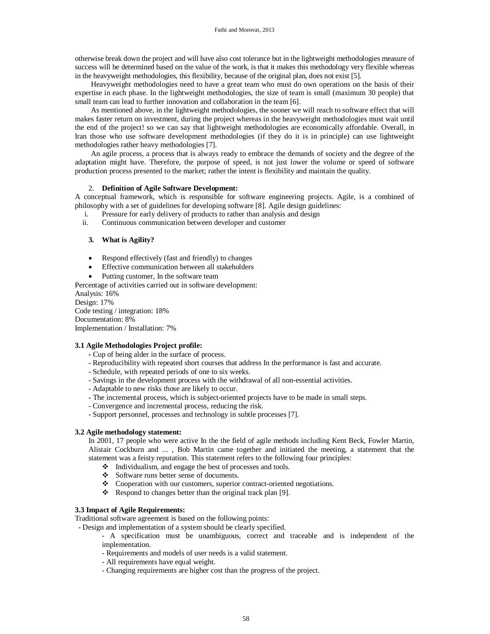otherwise break down the project and will have also cost tolerance but in the lightweight methodologies measure of success will be determined based on the value of the work, is that it makes this methodology very flexible whereas in the heavyweight methodologies, this flexibility, because of the original plan, does not exist [5].

Heavyweight methodologies need to have a great team who must do own operations on the basis of their expertise in each phase. In the lightweight methodologies, the size of team is small (maximum 30 people) that small team can lead to further innovation and collaboration in the team [6].

As mentioned above, in the lightweight methodologies, the sooner we will reach to software effect that will makes faster return on investment, during the project whereas in the heavyweight methodologies must wait until the end of the project! so we can say that lightweight methodologies are economically affordable. Overall, in Iran those who use software development methodologies (if they do it is in principle) can use lightweight methodologies rather heavy methodologies [7].

An agile process, a process that is always ready to embrace the demands of society and the degree of the adaptation might have. Therefore, the purpose of speed, is not just lower the volume or speed of software production process presented to the market; rather the intent is flexibility and maintain the quality.

## 2. **Definition of Agile Software Development:**

A conceptual framework, which is responsible for software engineering projects. Agile, is a combined of philosophy with a set of guidelines for developing software [8]. Agile design guidelines:

- i. Pressure for early delivery of products to rather than analysis and design
- ii. Continuous communication between developer and customer

## **3. What is Agility?**

- Respond effectively (fast and friendly) to changes
- Effective communication between all stakeholders
- Putting customer, In the software team

Percentage of activities carried out in software development: Analysis: 16%

Design: 17% Code testing / integration: 18% Documentation: 8% Implementation / Installation: 7%

## **3.1 Agile Methodologies Project profile:**

- **-** Cup of being alder in the surface of process.
- Reproducibility with repeated short courses that address In the performance is fast and accurate.
- Schedule, with repeated periods of one to six weeks.
- Savings in the development process with the withdrawal of all non-essential activities.
- Adaptable to new risks those are likely to occur.
- The incremental process, which is subject-oriented projects have to be made in small steps.
- Convergence and incremental process, reducing the risk.
- Support personnel, processes and technology in subtle processes [7].

### **3.2 Agile methodology statement:**

In 2001, 17 people who were active In the the field of agile methods including Kent Beck, Fowler Martin, Alistair Cockburn and ... , Bob Martin came together and initiated the meeting, a statement that the statement was a feisty reputation. This statement refers to the following four principles:

- $\div$  Individualism, and engage the best of processes and tools.
- Software runs better sense of documents.
- Cooperation with our customers, superior contract-oriented negotiations.
- Respond to changes better than the original track plan [9].

## **3.3 Impact of Agile Requirements:**

Traditional software agreement is based on the following points:

- Design and implementation of a system should be clearly specified.

- A specification must be unambiguous, correct and traceable and is independent of the implementation.
	- Requirements and models of user needs is a valid statement.
	- All requirements have equal weight.
	- Changing requirements are higher cost than the progress of the project.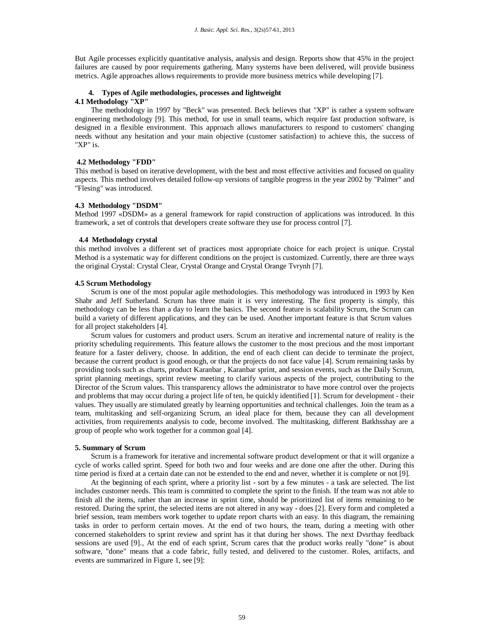But Agile processes explicitly quantitative analysis, analysis and design. Reports show that 45% in the project failures are caused by poor requirements gathering. Many systems have been delivered, will provide business metrics. Agile approaches allows requirements to provide more business metrics while developing [7].

# **4. Types of Agile methodologies, processes and lightweight**

## **4.1 Methodology "XP"**

The methodology in 1997 by "Beck" was presented. Beck believes that "XP" is rather a system software engineering methodology [9]. This method, for use in small teams, which require fast production software, is designed in a flexible environment. This approach allows manufacturers to respond to customers' changing needs without any hesitation and your main objective (customer satisfaction) to achieve this, the success of "XP" is.

## **4.2 Methodology "FDD"**

This method is based on iterative development, with the best and most effective activities and focused on quality aspects. This method involves detailed follow-up versions of tangible progress in the year 2002 by "Palmer" and "Flesing" was introduced.

#### **4.3 Methodology "DSDM"**

Method 1997 «DSDM» as a general framework for rapid construction of applications was introduced. In this framework, a set of controls that developers create software they use for process control [7].

#### **4.4 Methodology crystal**

this method involves a different set of practices most appropriate choice for each project is unique. Crystal Method is a systematic way for different conditions on the project is customized. Currently, there are three ways the original Crystal: Crystal Clear, Crystal Orange and Crystal Orange Tvrynh [7].

### **4.5 Scrum Methodology**

Scrum is one of the most popular agile methodologies. This methodology was introduced in 1993 by Ken Shabr and Jeff Sutherland. Scrum has three main it is very interesting. The first property is simply, this methodology can be less than a day to learn the basics. The second feature is scalability Scrum, the Scrum can build a variety of different applications, and they can be used. Another important feature is that Scrum values for all project stakeholders [4].

Scrum values for customers and product users. Scrum an iterative and incremental nature of reality is the priority scheduling requirements. This feature allows the customer to the most precious and the most important feature for a faster delivery, choose. In addition, the end of each client can decide to terminate the project, because the current product is good enough, or that the projects do not face value [4]. Scrum remaining tasks by providing tools such as charts, product Karanbar , Karanbar sprint, and session events, such as the Daily Scrum, sprint planning meetings, sprint review meeting to clarify various aspects of the project, contributing to the Director of the Scrum values. This transparency allows the administrator to have more control over the projects and problems that may occur during a project life of ten, he quickly identified [1]. Scrum for development - their values. They usually are stimulated greatly by learning opportunities and technical challenges. Join the team as a team, multitasking and self-organizing Scrum, an ideal place for them, because they can all development activities, from requirements analysis to code, become involved. The multitasking, different Batkhsshay are a group of people who work together for a common goal [4].

#### **5. Summary of Scrum**

Scrum is a framework for iterative and incremental software product development or that it will organize a cycle of works called sprint. Speed for both two and four weeks and are done one after the other. During this time period is fixed at a certain date can not be extended to the end and never, whether it is complete or not [9].

At the beginning of each sprint, where a priority list - sort by a few minutes - a task are selected. The list includes customer needs. This team is committed to complete the sprint to the finish. If the team was not able to finish all the items, rather than an increase in sprint time, should be prioritized list of items remaining to be restored. During the sprint, the selected items are not altered in any way - does [2]. Every form and completed a brief session, team members work together to update report charts with an easy. In this diagram, the remaining tasks in order to perform certain moves. At the end of two hours, the team, during a meeting with other concerned stakeholders to sprint review and sprint has it that during her shows. The next Dvsrthay feedback sessions are used [9]., At the end of each sprint, Scrum cares that the product works really "done" is about software, "done" means that a code fabric, fully tested, and delivered to the customer. Roles, artifacts, and events are summarized in Figure 1, see [9]: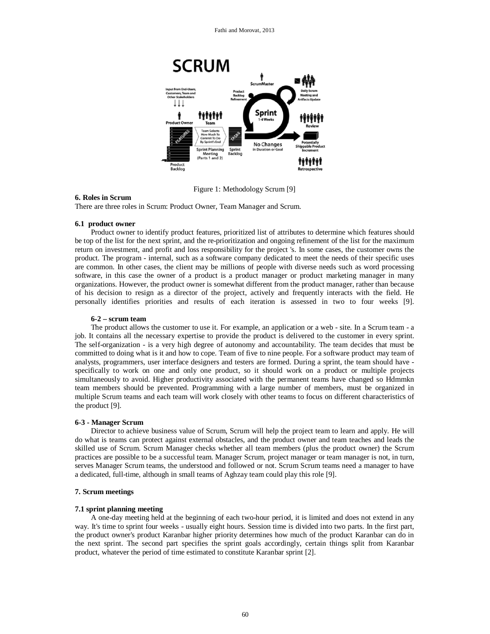

Figure 1: Methodology Scrum [9]

## **6. Roles in Scrum**

There are three roles in Scrum: Product Owner, Team Manager and Scrum.

#### **6.1 product owner**

Product owner to identify product features, prioritized list of attributes to determine which features should be top of the list for the next sprint, and the re-prioritization and ongoing refinement of the list for the maximum return on investment, and profit and loss responsibility for the project 's. In some cases, the customer owns the product. The program - internal, such as a software company dedicated to meet the needs of their specific uses are common. In other cases, the client may be millions of people with diverse needs such as word processing software, in this case the owner of a product is a product manager or product marketing manager in many organizations. However, the product owner is somewhat different from the product manager, rather than because of his decision to resign as a director of the project, actively and frequently interacts with the field. He personally identifies priorities and results of each iteration is assessed in two to four weeks [9].

#### **6-2 – scrum team**

The product allows the customer to use it. For example, an application or a web - site. In a Scrum team - a job. It contains all the necessary expertise to provide the product is delivered to the customer in every sprint. The self-organization - is a very high degree of autonomy and accountability. The team decides that must be committed to doing what is it and how to cope. Team of five to nine people. For a software product may team of analysts, programmers, user interface designers and testers are formed. During a sprint, the team should have specifically to work on one and only one product, so it should work on a product or multiple projects simultaneously to avoid. Higher productivity associated with the permanent teams have changed so Hdmmkn team members should be prevented. Programming with a large number of members, must be organized in multiple Scrum teams and each team will work closely with other teams to focus on different characteristics of the product [9].

#### **6-3 - Manager Scrum**

Director to achieve business value of Scrum, Scrum will help the project team to learn and apply. He will do what is teams can protect against external obstacles, and the product owner and team teaches and leads the skilled use of Scrum. Scrum Manager checks whether all team members (plus the product owner) the Scrum practices are possible to be a successful team. Manager Scrum, project manager or team manager is not, in turn, serves Manager Scrum teams, the understood and followed or not. Scrum Scrum teams need a manager to have a dedicated, full-time, although in small teams of Aghzay team could play this role [9].

#### **7. Scrum meetings**

#### **7.1 sprint planning meeting**

A one-day meeting held at the beginning of each two-hour period, it is limited and does not extend in any way. It's time to sprint four weeks - usually eight hours. Session time is divided into two parts. In the first part, the product owner's product Karanbar higher priority determines how much of the product Karanbar can do in the next sprint. The second part specifies the sprint goals accordingly, certain things split from Karanbar product, whatever the period of time estimated to constitute Karanbar sprint [2].